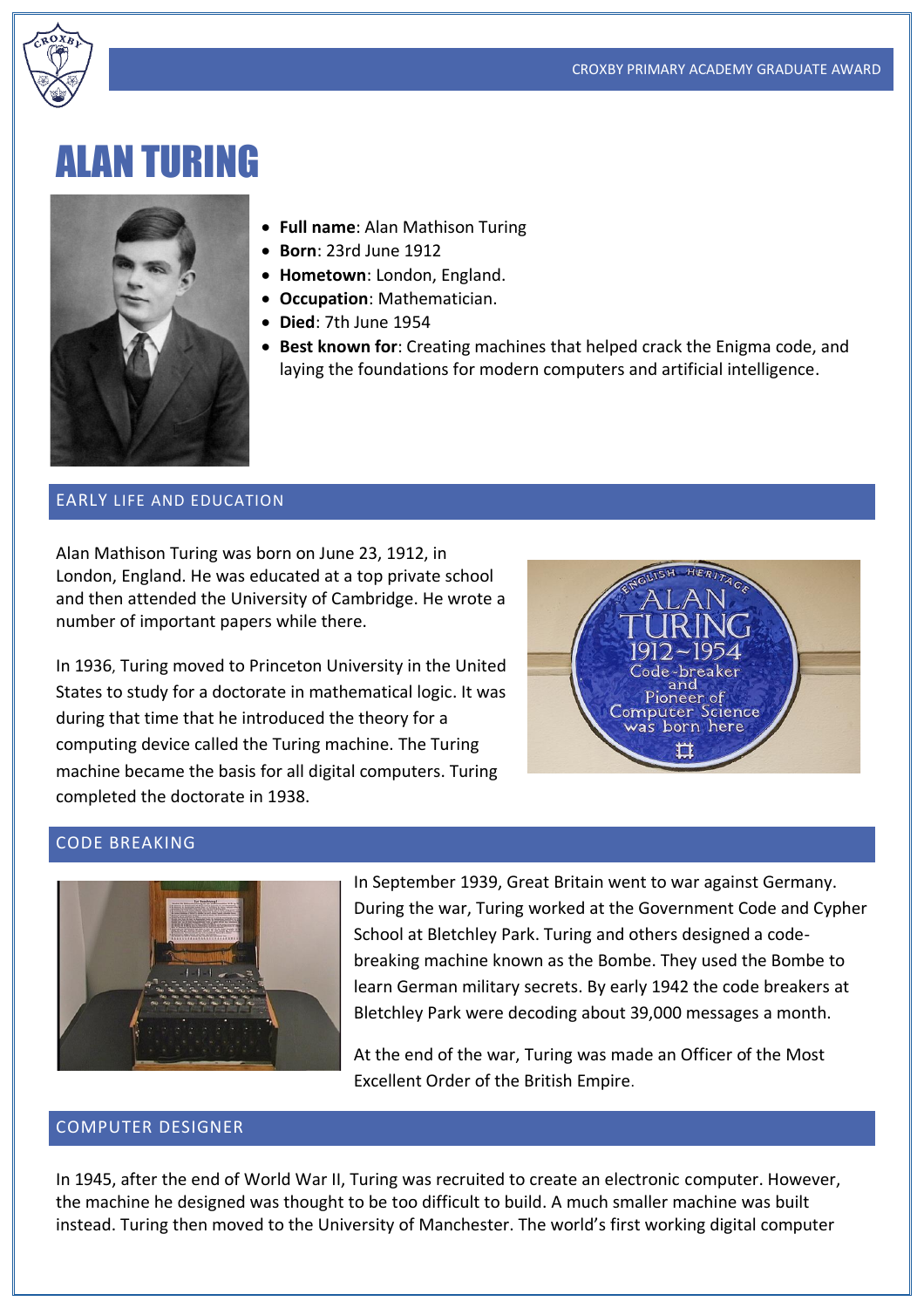

# ALAN TURING



- **Full name**: Alan Mathison Turing
- **Born**: 23rd June 1912
- **Hometown**: London, England.
- **Occupation**: Mathematician.
- **Died**: 7th June 1954
- **Best known for**: Creating machines that helped crack the Enigma code, and laying the foundations for modern computers and artificial intelligence.

#### EARLY LIFE AND EDUCATION

Alan Mathison Turing was born on June 23, 1912, in London, England. He was educated at a top private school and then attended the University of Cambridge. He wrote a number of important papers while there.

In 1936, Turing moved to Princeton University in the United States to study for a doctorate in mathematical logic. It was during that time that he introduced the theory for a computing device called the Turing machine. The Turing machine became the basis for all digital computers. Turing completed the doctorate in 1938.



# CODE BREAKING



In September 1939, Great Britain went to war against Germany. During the war, Turing worked at the Government Code and Cypher School at Bletchley Park. Turing and others designed a codebreaking machine known as the Bombe. They used the Bombe to learn German military secrets. By early 1942 the code breakers at Bletchley Park were decoding about 39,000 messages a month.

At the end of the war, Turing was made an Officer of the Most Excellent Order of the British Empire.

#### COMPUTER DESIGNER

In 1945, after the end of World War II, Turing was recruited to create an electronic computer. However, the machine he designed was thought to be too difficult to build. A much smaller machine was built instead. Turing then moved to the University of Manchester. The world's first working digital computer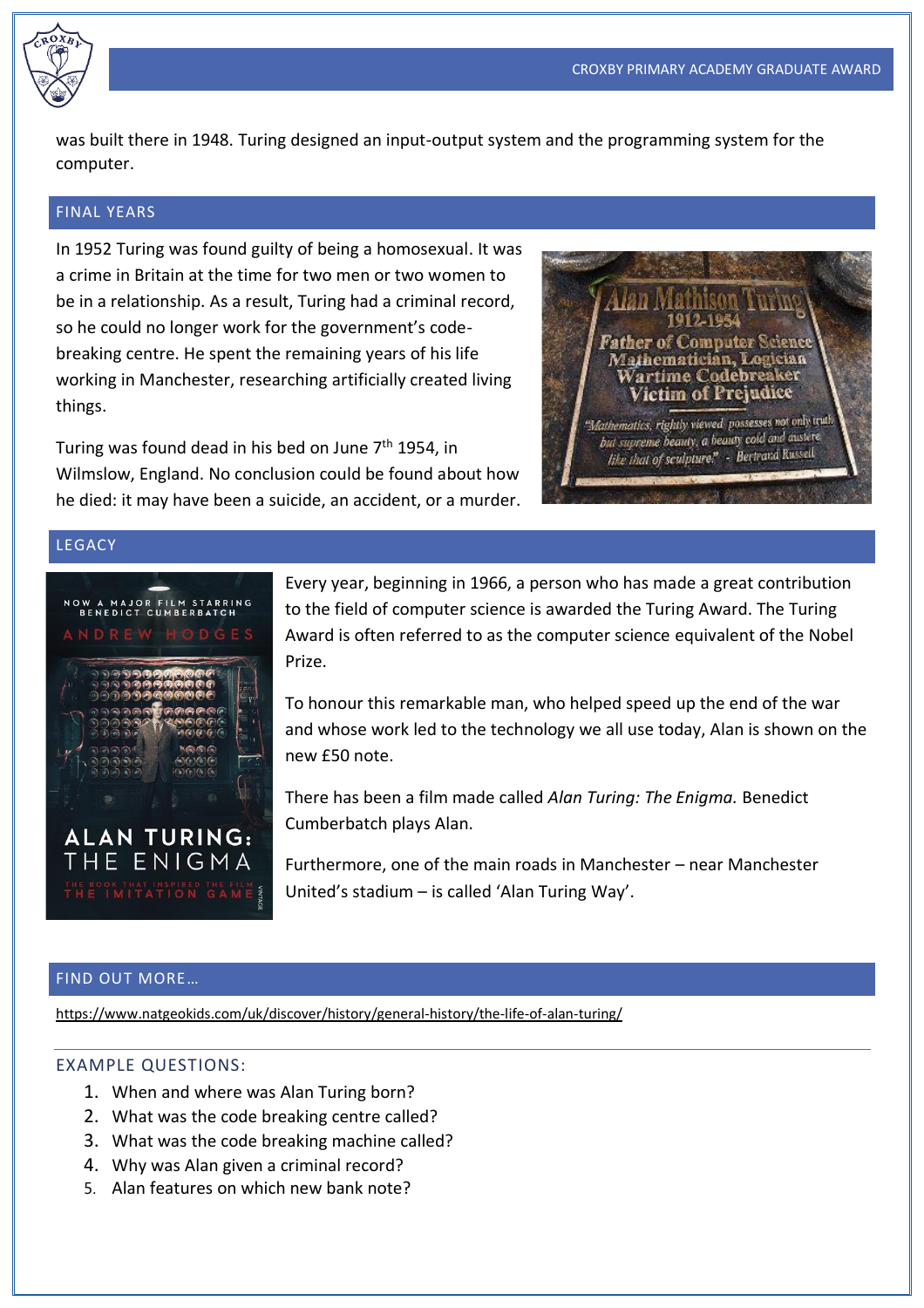was built there in 1948. Turing designed an input-output system and the programming system for the computer.

## FINAL YEARS

In 1952 Turing was found guilty of being a homosexual. It was a crime in Britain at the time for two men or two women to be in a relationship. As a result, Turing had a criminal record, so he could no longer work for the government's codebreaking centre. He spent the remaining years of his life working in Manchester, researching artificially created living things.

Turing was found dead in his bed on June 7<sup>th</sup> 1954, in Wilmslow, England. No conclusion could be found about how he died: it may have been a suicide, an accident, or a murder.



## LEGACY



Every year, beginning in 1966, a person who has made a great contribution to the field of computer science is awarded the Turing Award. The Turing Award is often referred to as the computer science equivalent of the Nobel Prize.

To honour this remarkable man, who helped speed up the end of the war and whose work led to the technology we all use today, Alan is shown on the new £50 note.

There has been a film made called *Alan Turing: The Enigma.* Benedict Cumberbatch plays Alan.

Furthermore, one of the main roads in Manchester – near Manchester United's stadium – is called 'Alan Turing Way'.

### FIND OUT MORE…

<https://www.natgeokids.com/uk/discover/history/general-history/the-life-of-alan-turing/>

### EXAMPLE QUESTIONS:

- 1. When and where was Alan Turing born?
- 2. What was the code breaking centre called?
- 3. What was the code breaking machine called?
- 4. Why was Alan given a criminal record?
- 5. Alan features on which new bank note?